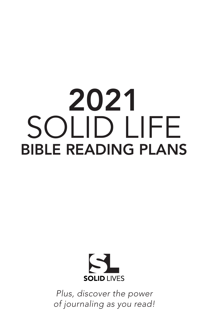## 2021 SOLID LIFE BIBLE READING PLANS



*Plus, discover the power of journaling as you read!*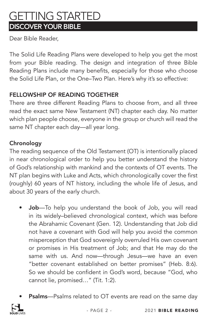### GETTING STARTED DISCOVER YOUR BIBLE

Dear Bible Reader,

The Solid Life Reading Plans were developed to help you get the most from your Bible reading. The design and integration of three Bible Reading Plans include many benefits, especially for those who choose the Solid Life Plan, or the One–Two Plan. Here's why it's so effective:

### FELLOWSHIP OF READING TOGETHER

There are three different Reading Plans to choose from, and all three read the exact same New Testament (NT) chapter each day. No matter which plan people choose, everyone in the group or church will read the same NT chapter each day—all year long.

#### **Chronology**

The reading sequence of the Old Testament (OT) is intentionally placed in near chronological order to help you better understand the history of God's relationship with mankind and the contexts of OT events. The NT plan begins with Luke and Acts, which chronologically cover the first (roughly) 60 years of NT history, including the whole life of Jesus, and about 30 years of the early church.

- Job-To help you understand the book of Job, you will read in its widely–believed chronological context, which was before the Abrahamic Covenant (Gen. 12). Understanding that Job did not have a covenant with God will help you avoid the common misperception that God sovereignly overruled His own covenant or promises in His treatment of Job; and that He may do the same with us. And now—through Jesus—we have an even "better covenant established on better promises" (Heb. 8:6). So we should be confident in God's word, because "God, who cannot lie, promised…" (Tit. 1:2).
- Psalms-Psalms related to OT events are read on the same day

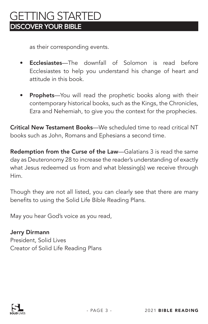### GETTING STARTED DISCOVER YOUR BIBLE

as their corresponding events.

- Ecclesiastes—The downfall of Solomon is read before Ecclesiastes to help you understand his change of heart and attitude in this book.
- Prophets—You will read the prophetic books along with their contemporary historical books, such as the Kings, the Chronicles, Ezra and Nehemiah, to give you the context for the prophecies.

Critical New Testament Books—We scheduled time to read critical NT books such as John, Romans and Ephesians a second time.

Redemption from the Curse of the Law—Galatians 3 is read the same day as Deuteronomy 28 to increase the reader's understanding of exactly what Jesus redeemed us from and what blessing(s) we receive through Him.

Though they are not all listed, you can clearly see that there are many benefits to using the Solid Life Bible Reading Plans.

May you hear God's voice as you read,

Jerry Dirmann President, Solid Lives Creator of Solid Life Reading Plans

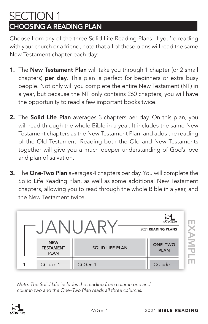### SECTION 1 CHOOSING A READING PLAN

Choose from any of the three Solid Life Reading Plans. If you're reading with your church or a friend, note that all of these plans will read the same New Testament chapter each day:

- 1. The New Testament Plan will take you through 1 chapter (or 2 small chapters) per day. This plan is perfect for beginners or extra busy people. Not only will you complete the entire New Testament (NT) in a year, but because the NT only contains 260 chapters, you will have the opportunity to read a few important books twice.
- 2. The Solid Life Plan averages 3 chapters per day. On this plan, you will read through the whole Bible in a year. It includes the same New Testament chapters as the New Testament Plan, and adds the reading of the Old Testament. Reading both the Old and New Testaments together will give you a much deeper understanding of God's love and plan of salvation.
- 3. The One-Two Plan averages 4 chapters per day. You will complete the Solid Life Reading Plan, as well as some additional New Testament chapters, allowing you to read through the whole Bible in a year, and the New Testament twice.



*Note: The Solid Life includes the reading from column one and column two and the One–Two Plan reads all three columns.*

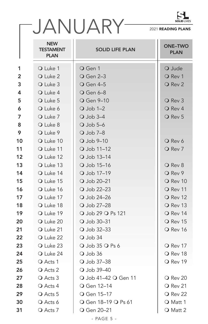

|                |                                               |                         | LT J<br><b>SOLID LIVES</b>    |  |
|----------------|-----------------------------------------------|-------------------------|-------------------------------|--|
|                |                                               | JANUARY-                | 2021 READING PLANS            |  |
|                | <b>NEW</b><br><b>TESTAMENT</b><br><b>PLAN</b> | <b>SOLID LIFE PLAN</b>  | <b>ONE-TWO</b><br><b>PLAN</b> |  |
| 1              | O Luke 1                                      | O Gen 1                 | O Jude                        |  |
| $\overline{2}$ | O Luke 2                                      | <b>O</b> Gen 2-3        | O Rev 1                       |  |
| 3              | O Luke 3                                      | <b>O</b> Gen 4–5        | O Rev 2                       |  |
| 4              | O Luke 4                                      | <b>O</b> Gen 6-8        |                               |  |
| 5              | O Luke 5                                      | O Gen 9-10              | O Rev 3                       |  |
| 6              | O Luke 6                                      | $Q$ Job 1-2             | O Rev 4                       |  |
| 7              | O Luke 7                                      | $Q$ Job 3-4             | O Rev 5                       |  |
| 8              | O Luke 8                                      | $\overline{O}$ Job 5–6  |                               |  |
| 9              | O Luke 9                                      | $Q$ Job 7-8             |                               |  |
| 10             | O Luke 10                                     | $\overline{O}$ Job 9-10 | O Rev 6                       |  |
| 11             | O Luke 11                                     | O Job 11-12             | O Rev 7                       |  |
| 12             | O Luke 12                                     | O Job 13-14             |                               |  |
| 13             | O Luke 13                                     | O Job 15-16             | O Rev 8                       |  |
| 14             | O Luke 14                                     | O Job 17-19             | O Rev 9                       |  |
| 15             | O Luke 15                                     | O Job 20-21             | $\overline{O}$ Rev 10         |  |
| 16             | O Luke 16                                     | O Job 22-23             | O Rev 11                      |  |
| 17             | O Luke 17                                     | O Job 24-26             | O Rev 12                      |  |
| 18             | O Luke 18                                     | O Job 27-28             | O Rev 13                      |  |
| 19             | O Luke 19                                     | ○ Job 29 ○ Ps 121       | O Rev 14                      |  |
| 20             | O Luke 20                                     | O Job 30-31             | O Rev 15                      |  |
| 21             | O Luke 21                                     | O Job 32-33             | O Rev 16                      |  |
| 22             | O Luke 22                                     | $Q$ Job 34              |                               |  |
| 23             | O Luke 23                                     | O Job 35 O Ps 6         | $\overline{O}$ Rev 17         |  |
| 24             | O Luke 24                                     | $Q$ Job 36              | O Rev 18                      |  |
| 25             | O Acts 1                                      | O Job 37-38             | O Rev 19                      |  |
| 26             | O Acts 2                                      | O Job 39-40             |                               |  |
| 27             | O Acts 3                                      | ○ Job 41–42 ○ Gen 11    | $\bigcirc$ Rev 20             |  |
| 28             | O Acts 4                                      | <b>O</b> Gen 12–14      | O Rev 21                      |  |
| 29             | O Acts 5                                      | O Gen 15-17             | $\overline{O}$ Rev 22         |  |
| 30             | O Acts 6                                      | ○ Gen 18-19 ○ Ps 61     | O Matt 1                      |  |
| 31             | O Acts 7                                      | O Gen 20-21             | O Matt 2                      |  |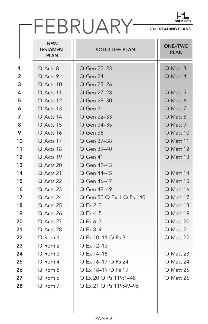

|    | FEBRUARY-                                     |                                | <b>SOLID LIVES</b><br>2021 READING PLANS |  |
|----|-----------------------------------------------|--------------------------------|------------------------------------------|--|
|    | <b>NEW</b><br><b>TESTAMENT</b><br><b>PLAN</b> | <b>SOLID LIFE PLAN</b>         | <b>ONE-TWO</b><br><b>PLAN</b>            |  |
| 1  | O Acts 8                                      | <b>O</b> Gen 22-23             | O Matt 3                                 |  |
| 2  | O Acts 9                                      | $\overline{O}$ Gen 24          | O Matt 4                                 |  |
| 3  | O Acts 10                                     | <b>O</b> Gen 25-26             |                                          |  |
| 4  | O Acts 11                                     | <b>O</b> Gen 27-28             | $\overline{O}$ Matt 5                    |  |
| 5  | O Acts 12                                     | <b>O</b> Gen 29-30             | Q Matt 6                                 |  |
| 6  | O Acts 13                                     | $\overline{\mathrm{O}}$ Gen 31 | O Matt 7                                 |  |
| 7  | O Acts 14                                     | O Gen 32-33                    | O Matt 8                                 |  |
| 8  | O Acts 15                                     | <b>O</b> Gen 34-35             | O Matt 9                                 |  |
| 9  | O Acts 16                                     | O Gen 36                       | $\bigcirc$ Matt 10                       |  |
| 10 | O Acts 17                                     | O Gen 37-38                    | O Matt 11                                |  |
| 11 | O Acts 18                                     | O Gen 39–40                    | O Matt 12                                |  |
| 12 | O Acts 19                                     | O Gen 41                       | O Matt 13                                |  |
| 13 | O Acts 20                                     | <b>O</b> Gen 42–43             |                                          |  |
| 14 | O Acts 21                                     | <b>O</b> Gen 44–45             | $\bigcirc$ Matt 14                       |  |
| 15 | O Acts 22                                     | O Gen 46-47                    | O Matt 15                                |  |
| 16 | O Acts 23                                     | O Gen 48-49                    | O Matt 16                                |  |
| 17 | O Acts 24                                     | ○ Gen 50 ○ Ex 1 ○ Ps 140       | O Matt 17                                |  |
| 18 | O Acts 25                                     | $\overline{O}$ Ex 2–3          | O Matt 18                                |  |
| 19 | O Acts 26                                     | $\overline{\mathrm{O}}$ Ex 4–5 | O Matt 19                                |  |
| 20 | O Acts 27                                     | $Q$ Ex 6-7                     | $\overline{O}$ Matt 20                   |  |
| 21 | O Acts 28                                     | $\overline{O}$ Ex 8–9          | $\bigcirc$ Matt 21                       |  |
| 22 | O Rom 1                                       | $Q$ Ex 10–11 $Q$ Ps 31         | $\bigcirc$ Matt 22                       |  |
| 23 | O Rom 2                                       | $Q$ Ex 12–13                   |                                          |  |
| 24 | O Rom 3                                       | O Ex 14–15                     | O Matt 23                                |  |
| 25 | O Rom 4                                       | $Q$ Ex 16-17 $Q$ Ps 24         | $\bigcirc$ Matt 24                       |  |
| 26 | O Rom 5                                       | $Q$ Ex 18–19 $Q$ Ps 19         | $\bigcirc$ Matt 25                       |  |
| 27 | O Rom 6                                       | ○ Ex 20 ○ Ps 119:1-48          | O Matt 26                                |  |
| 28 | O Rom 7                                       | ○ Ex 21 ○ Ps 119:49-96         |                                          |  |
|    |                                               |                                |                                          |  |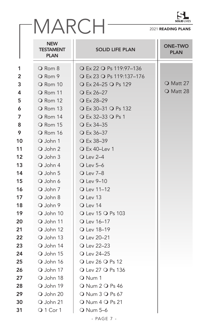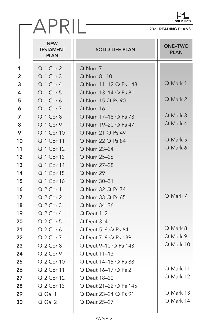|                | APRIL-                                        |                                              | 2021 READING PLANS            |
|----------------|-----------------------------------------------|----------------------------------------------|-------------------------------|
|                | <b>NEW</b><br><b>TESTAMENT</b><br><b>PLAN</b> | <b>SOLID LIFE PLAN</b>                       | <b>ONE-TWO</b><br><b>PLAN</b> |
| 1              | Q 1 Cor 2                                     | O Num 7                                      |                               |
| $\overline{2}$ | Q 1 Cor 3                                     | O Num 8-10                                   |                               |
| 3              | Q 1 Cor 4                                     | O Num 11-12 O Ps 148                         | O Mark 1                      |
| 4              | Q 1 Cor 5                                     | O Num 13-14 O Ps 81                          |                               |
| 5              | Q 1 Cor 6                                     | O Num 15 O Ps 90                             | <b>O</b> Mark 2               |
| 6              | Q 1 Cor 7                                     | <b>O</b> Num 16                              |                               |
| 7              | Q 1 Cor 8                                     | O Num 17-18 O Ps 73                          | O Mark 3                      |
| 8              | Q 1 Cor 9                                     | O Num 19-20 O Ps 47                          | O Mark 4                      |
| 9              | Q 1 Cor 10                                    | O Num 21 O Ps 49                             |                               |
| 10             | Q 1 Cor 11                                    | <b>O</b> Num 22 <b>O</b> Ps 84               | O Mark 5                      |
| 11             | Q 1 Cor 12                                    | O Num 23-24                                  | O Mark 6                      |
| 12             | <b>Q</b> 1 Cor 13                             | O Num 25-26                                  |                               |
| 13             | Q 1 Cor 14                                    | O Num 27-28                                  |                               |
| 14             | <b>Q</b> 1 Cor 15                             | <b>O</b> Num 29                              |                               |
| 15             | Q 1 Cor 16                                    | O Num 30-31                                  |                               |
| 16             | Q 2 Cor 1                                     | O Num 32 O Ps 74                             |                               |
| 17             | $Q$ 2 Cor 2                                   | O Num 33 O Ps 65                             | O Mark 7                      |
| 18             | Q 2 Cor 3                                     | O Num 34-36                                  |                               |
| 19             | $Q$ 2 Cor 4                                   | $\overline{O}$ Deut 1-2                      |                               |
| 20             | Q 2 Cor 5                                     | $\overline{O}$ Deut 3–4                      |                               |
| 21             | $Q$ 2 Cor 6                                   | $\overline{O}$ Deut 5–6 $\overline{O}$ Ps 64 | O Mark 8                      |
| 22             | Q 2 Cor 7                                     | ○ Deut 7-8 ○ Ps 139                          | O Mark 9                      |
| 23             | Q 2 Cor 8                                     | ○ Deut 9-10 ○ Ps 143                         | O Mark 10                     |
| 24             | Q 2 Cor 9                                     | <b>O</b> Deut 11-13                          |                               |
| 25             | Q 2 Cor 10                                    | ○ Deut 14–15 ○ Ps 88                         |                               |
| 26             | Q 2 Cor 11                                    | ○ Deut 16-17 ○ Ps 2                          | O Mark 11                     |
| 27             | Q 2 Cor 12                                    | <b>O</b> Deut 18-20                          | O Mark 12                     |
| 28             | Q 2 Cor 13                                    | ○ Deut 21-22 ○ Ps 145                        |                               |
| 29             | O Gal 1                                       | ○ Deut 23-24 ○ Ps 91                         | O Mark 13                     |
| 30             | O Gal 2                                       | <b>O</b> Deut 25-27                          | O Mark 14                     |
|                |                                               |                                              |                               |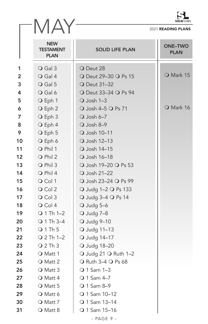

|    |                                        |                                        | <b>SOLID LIVES</b>            |
|----|----------------------------------------|----------------------------------------|-------------------------------|
|    |                                        |                                        | 2021 READING PLANS            |
|    | <b>NEW</b><br>TESTAMENT<br><b>PLAN</b> | <b>SOLID LIFE PLAN</b>                 | <b>ONE-TWO</b><br><b>PLAN</b> |
| 1  | $\bigcirc$ Gal 3                       | O Deut 28                              |                               |
| 2  | O Gal 4                                | ○ Deut 29-30 ○ Ps 15                   | O Mark 15                     |
| 3  | $\bigcirc$ Gal 5                       | <b>O</b> Deut 31-32                    |                               |
| 4  | O Gal 6                                | ○ Deut 33-34 ○ Ps 94                   |                               |
| 5  | O Eph 1                                | $Q$ Josh 1-3                           |                               |
| 6  | O Eph 2                                | O Josh 4-5 O Ps 71                     | O Mark 16                     |
| 7  | O Eph 3                                | $\overline{O}$ Josh 6-7                |                               |
| 8  | O Eph 4                                | $Q$ Josh 8-9                           |                               |
| 9  | O Eph 5                                | O Josh 10-11                           |                               |
| 10 | O Eph 6                                | O Josh 12-13                           |                               |
| 11 | O Phil 1                               | O Josh 14-15                           |                               |
| 12 | O Phil 2                               | O Josh 16-18                           |                               |
| 13 | O Phil 3                               | ○ Josh 19-20 ○ Ps 53                   |                               |
| 14 | O Phil 4                               | O Josh 21-22                           |                               |
| 15 | O Col 1                                | ○ Josh 23-24 ○ Ps 99                   |                               |
| 16 | O Col 2                                | O Judg 1-2 O Ps 133                    |                               |
| 17 | O Col 3                                | O Judg 3-4 O Ps 14                     |                               |
| 18 | O Col 4                                | $\bigcirc$ Judg 5-6                    |                               |
| 19 | $Q$ 1 Th 1-2                           | $\bigcirc$ Judg 7-8                    |                               |
| 20 | $Q$ 1 Th 3-4                           | $\bigcirc$ Judg 9-10                   |                               |
| 21 | Q 1 Th 5                               | O Judg 11-13                           |                               |
| 22 | $Q$ 2 Th 1-2                           | O Judg 14-17                           |                               |
| 23 | $Q$ 2 Th 3                             | O Judg 18-20                           |                               |
| 24 | O Matt 1                               | $\bigcirc$ Judg 21 $\bigcirc$ Ruth 1-2 |                               |
| 25 | O Matt 2                               | $\bigcirc$ Ruth 3–4 $\bigcirc$ Ps 68   |                               |
| 26 | O Matt 3                               | $Q$ 1 Sam 1-3                          |                               |
| 27 | O Matt 4                               | ○ 1 Sam 4-7                            |                               |
| 28 | O Matt 5                               | ○ 1 Sam 8-9                            |                               |
| 29 | O Matt 6                               | O 1 Sam 10-12                          |                               |
| 30 | O Matt 7                               | O 1 Sam 13-14                          |                               |
| 31 | O Matt 8                               | O 1 Sam 15-16                          |                               |
|    |                                        | - PAGE 9 -                             |                               |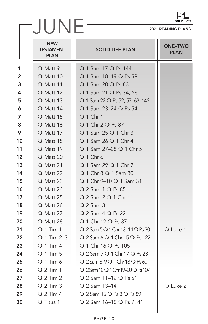

|                |                                        |                                                   | <b>SOLID LIVES</b>            |
|----------------|----------------------------------------|---------------------------------------------------|-------------------------------|
|                | JUNE                                   |                                                   | 2021 READING PLANS            |
|                | <b>NEW</b><br>TESTAMENT<br><b>PLAN</b> | <b>SOLID LIFE PLAN</b>                            | <b>ONE-TWO</b><br><b>PLAN</b> |
| 1              | O Matt 9                               | ○ 1 Sam 17 ○ Ps 144                               |                               |
| $\overline{2}$ | O Matt 10                              | ○ 1 Sam 18-19 ○ Ps 59                             |                               |
| 3              | O Matt 11                              | ○ 1 Sam 20 ○ Ps 83                                |                               |
| 4              | O Matt 12                              | ○ 1 Sam 21 ○ Ps 34, 56                            |                               |
| 5              | O Matt 13                              | $\bigcirc$ 1 Sam 22 $\bigcirc$ Ps 52, 57, 63, 142 |                               |
| 6              | O Matt 14                              | ○ 1 Sam 23-24 ○ Ps 54                             |                               |
| 7              | $\overline{O}$ Matt 15                 | <b>Q</b> 1 Chr 1                                  |                               |
| 8              | O Matt 16                              | ○ 1 Chr 2 ○ Ps 87                                 |                               |
| 9              | O Matt 17                              | ○ 1 Sam 25 ○ 1 Chr 3                              |                               |
| 10             | O Matt 18                              | ○ 1 Sam 26 ○ 1 Chr 4                              |                               |
| 11             | O Matt 19                              | ○ 1 Sam 27-28 ○ 1 Chr 5                           |                               |
| 12             | O Matt 20                              | Q 1 Chr 6                                         |                               |
| 13             | O Matt 21                              | ○ 1 Sam 29 ○ 1 Chr 7                              |                               |
| 14             | O Matt 22                              | ○ 1 Chr 8 ○ 1 Sam 30                              |                               |
| 15             | $\bigcirc$ Matt 23                     | ○ 1 Chr 9-10 ○ 1 Sam 31                           |                               |
| 16             | $\bigcirc$ Matt 24                     | ○ 2 Sam 1 ○ Ps 85                                 |                               |
| 17             | $\bigcirc$ Matt 25                     | ○ 2 Sam 2 ○ 1 Chr 11                              |                               |
| 18             | O Matt 26                              | $Q$ 2 Sam 3                                       |                               |
| 19             | $\bigcirc$ Matt 27                     | $Q$ 2 Sam 4 $Q$ Ps 22                             |                               |
| 20             | O Matt 28                              | ○ 1 Chr 12 ○ Ps 37                                |                               |
| 21             | $Q$ 1 Tim 1                            | $Q$ 2 Sam 5 $Q$ 1 Chr 13–14 $Q$ Ps 30             | O Luke 1                      |
| 22             | Q 1 Tim 2-3                            | $Q$ 2 Sam 6 $Q$ 1 Chr 15 $Q$ Ps 122               |                               |
| 23             | $Q$ 1 Tim 4                            | ○ 1 Chr 16 ○ Ps 105                               |                               |
| 24             | $Q$ 1 Tim 5                            | ○ 2 Sam 7 ○ 1 Chr 17 ○ Ps 23                      |                               |
| 25             | $Q$ 1 Tim 6                            | ○ 2 Sam 8-9 ○ 1 Chr 18 ○ Ps 60                    |                               |
| 26             | $Q$ 2 Tim 1                            | Q 2 Sam 10 Q 1 Chr 19-20 Q Ps 107                 |                               |
| 27             | $Q$ 2 Tim 2                            | ○ 2 Sam 11-12 ○ Ps 51                             |                               |
| 28             | $Q$ 2 Tim 3                            | ○ 2 Sam 13-14                                     | O Luke 2                      |
| 29             | $Q$ 2 Tim 4                            | ○ 2 Sam 15 ○ Ps 3 ○ Ps 89                         |                               |
| 30             | O Titus 1                              | ○ 2 Sam 16-18 ○ Ps 7, 41                          |                               |
|                |                                        |                                                   |                               |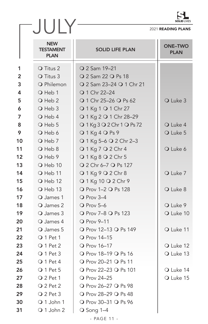| ILID I IVF<br>ç,<br>- |
|-----------------------|

| C J<br><b>SOLID LIVES</b> |                                               |                            |                               |  |
|---------------------------|-----------------------------------------------|----------------------------|-------------------------------|--|
| JULY                      |                                               |                            | 2021 READING PLANS            |  |
|                           | <b>NEW</b><br><b>TESTAMENT</b><br><b>PLAN</b> | <b>SOLID LIFE PLAN</b>     | <b>ONE-TWO</b><br><b>PLAN</b> |  |
| 1                         | O Titus 2                                     | Q 2 Sam 19-21              |                               |  |
| $\overline{2}$            | O Titus 3                                     | Q 2 Sam 22 Q Ps 18         |                               |  |
| 3                         | <b>O</b> Philemon                             | ○ 2 Sam 23-24 ○ 1 Chr 21   |                               |  |
| 4                         | O Heb 1                                       | <b>Q 1 Chr 22-24</b>       |                               |  |
| 5                         | O Heb 2                                       | Q 1 Chr 25-26 Q Ps 62      | O Luke 3                      |  |
| 6                         | O Heb 3                                       | Q 1 Kg 1 Q 1 Chr 27        |                               |  |
| 7                         | O Heb 4                                       | ○ 1 Kg 2 ○ 1 Chr 28-29     |                               |  |
| 8                         | O Heb 5                                       | O 1 Kg 3 O 2 Chr 1 O Ps 72 | O Luke 4                      |  |
| 9                         | O Heb 6                                       | Q 1 Kg 4 Q Ps 9            | O Luke 5                      |  |
| 10                        | O Heb 7                                       | ○ 1 Kg 5-6 ○ 2 Chr 2-3     |                               |  |
| 11                        | O Heb 8                                       | Q 1 Kg 7 Q 2 Chr 4         | O Luke 6                      |  |
| 12                        | O Heb 9                                       | ○ 1 Kg 8 ○ 2 Chr 5         |                               |  |
| 13                        | $\bigcirc$ Heb 10                             | Q 2 Chr 6-7 Q Ps 127       |                               |  |
| 14                        | O Heb 11                                      | $Q1$ Kg 9 $Q2$ Chr 8       | O Luke 7                      |  |
| 15                        | $\bigcirc$ Heb 12                             | Q 1 Kg 10 Q 2 Chr 9        |                               |  |
| 16                        | $\bigcirc$ Heb 13                             | O Prov 1-2 O Ps 128        | O Luke 8                      |  |
| 17                        | O James 1                                     | O Prov 3-4                 |                               |  |
| 18                        | O James 2                                     | $Q$ Prov 5-6               | O Luke 9                      |  |
| 19                        | O James 3                                     | ○ Prov 7-8 ○ Ps 123        | O Luke 10                     |  |
| 20                        | O James 4                                     | O Prov 9-11                |                               |  |
| 21                        | O James 5                                     | O Prov 12-13 O Ps 149      | O Luke 11                     |  |
| 22                        | O 1 Pet 1                                     | <b>O</b> Prov 14-15        |                               |  |
| 23                        | Q 1 Pet 2                                     | O Prov 16-17               | O Luke 12                     |  |
| 24                        | O 1 Pet 3                                     | ○ Prov 18-19 ○ Ps 16       | O Luke 13                     |  |
| 25                        | $Q 1$ Pet 4                                   | ○ Prov 20–21 ○ Ps 11       |                               |  |
| 26                        | O 1 Pet 5                                     | O Prov 22-23 O Ps 101      | O Luke 14                     |  |
| 27                        | $Q$ 2 Pet 1                                   | <b>O</b> Prov 24-25        | O Luke 15                     |  |
| 28                        | $Q$ 2 Pet 2                                   | ○ Prov 26-27 ○ Ps 98       |                               |  |
| 29                        | $Q$ 2 Pet 3                                   | ○ Prov 28-29 ○ Ps 48       |                               |  |
| 30                        | Q 1 John 1                                    | O Prov 30-31 O Ps 96       |                               |  |
| 31                        | Q 1 John 2                                    | $\overline{O}$ Song 1-4    |                               |  |
|                           |                                               | - PAGE 11 -                |                               |  |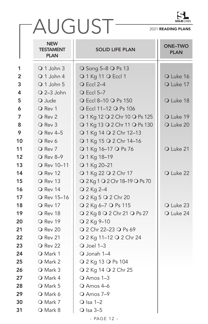

# AUGUST

|    | <b>NEW</b><br><b>TESTAMENT</b><br><b>PLAN</b> | <b>SOLID LIFE PLAN</b>         | <b>ONE-TWO</b><br><b>PLAN</b> |
|----|-----------------------------------------------|--------------------------------|-------------------------------|
| 1  | O 1 John 3                                    | ○ Song 5-8 ○ Ps 13             |                               |
| 2  | Q 1 John 4                                    | O 1 Kg 11 O Eccl 1             | O Luke 16                     |
| 3  | O 1 John 5                                    | <b>O</b> Eccl 2-4              | O Luke 17                     |
| 4  | $Q$ 2-3 John                                  | <b>O</b> Eccl 5-7              |                               |
| 5  | O Jude                                        | O Eccl 8-10 O Ps 150           | O Luke 18                     |
| 6  | O Rev 1                                       | ○ Eccl 11-12 ○ Ps 106          |                               |
| 7  | O Rev 2                                       | O 1 Kg 12 O 2 Chr 10 O Ps 125  | O Luke 19                     |
| 8  | O Rev 3                                       | O 1 Kg 13 O 2 Chr 11 O Ps 130  | O Luke 20                     |
| 9  | <b>O</b> Rev 4-5                              | ○ 1 Kg 14 ○ 2 Chr 12-13        |                               |
| 10 | O Rev 6                                       | O 1 Kg 15 O 2 Chr 14-16        |                               |
| 11 | O Rev 7                                       | O 1 Kg 16-17 O Ps 76           | O Luke 21                     |
| 12 | O Rev 8-9                                     | O 1 Kg 18-19                   |                               |
| 13 | O Rev 10-11                                   | O 1 Kg 20-21                   |                               |
| 14 | O Rev 12                                      | Q 1 Kg 22 Q 2 Chr 17           | O Luke 22                     |
| 15 | O Rev 13                                      | Q 2 Kg 1 Q 2 Chr 18-19 Q Ps 70 |                               |
| 16 | O Rev 14                                      | O 2 Kg 2-4                     |                               |
| 17 | O Rev 15-16                                   | Q 2 Kg 5 Q 2 Chr 20            |                               |
| 18 | O Rev 17                                      | Q 2 Kg 6-7 Q Ps 115            | O Luke 23                     |
| 19 | O Rev 18                                      | Q 2 Kg 8 Q 2 Chr 21 Q Ps 27    | O Luke 24                     |
| 20 | O Rev 19                                      | O 2 Kg 9-10                    |                               |
| 21 | O Rev 20                                      | ○ 2 Chr 22-23 ○ Ps 69          |                               |
| 22 | O Rev 21                                      | ○ 2 Kg 11-12 ○ 2 Chr 24        |                               |
| 23 | O Rev 22                                      | $O$ Joel 1-3                   |                               |
| 24 | O Mark 1                                      | O Jonah 1-4                    |                               |
| 25 | O Mark 2                                      | ○ 2 Kg 13 ○ Ps 104             |                               |
| 26 | O Mark 3                                      | Q 2 Kg 14 Q 2 Chr 25           |                               |
| 27 | O Mark 4                                      | $Q$ Amos 1-3                   |                               |
| 28 | O Mark 5                                      | O Amos 4-6                     |                               |
| 29 | O Mark 6                                      | O Amos 7-9                     |                               |
| 30 | O Mark 7                                      | $O$ Isa 1-2                    |                               |
| 31 | O Mark 8                                      | $\bigcirc$ Isa 3-5             |                               |
|    |                                               | - PAGE 12 -                    |                               |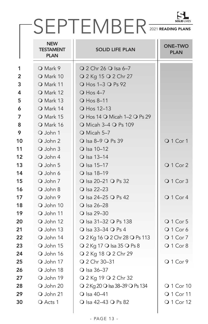|    |                                               | SEPTEMBER 2021 READING PLANS         |                               |
|----|-----------------------------------------------|--------------------------------------|-------------------------------|
|    | <b>NEW</b><br><b>TESTAMENT</b><br><b>PLAN</b> | <b>SOLID LIFE PLAN</b>               | <b>ONE-TWO</b><br><b>PLAN</b> |
| 1  | O Mark 9                                      | $Q$ 2 Chr 26 $Q$ Isa 6-7             |                               |
| 2  | O Mark 10                                     | Q 2 Kg 15 Q 2 Chr 27                 |                               |
| 3  | O Mark 11                                     | O Hos 1-3 O Ps 92                    |                               |
| 4  | O Mark 12                                     | $\overline{O}$ Hos 4-7               |                               |
| 5  | O Mark 13                                     | O Hos 8-11                           |                               |
| 6  | O Mark 14                                     | O Hos 12-13                          |                               |
| 7  | O Mark 15                                     | ○ Hos 14 ○ Micah 1-2 ○ Ps 29         |                               |
| 8  | O Mark 16                                     | ○ Micah 3-4 ○ Ps 109                 |                               |
| 9  | O John 1                                      | O Micah 5-7                          |                               |
| 10 | O John 2                                      | ○ Isa 8-9 ○ Ps 39                    | Q 1 Cor 1                     |
| 11 | $Q$ . John 3                                  | O Isa 10-12                          |                               |
| 12 | O John 4                                      | O Isa 13-14                          |                               |
| 13 | O John 5                                      | O Isa 15-17                          | Q 1 Cor 2                     |
| 14 | O John 6                                      | O Isa 18-19                          |                               |
| 15 | $Q$ John 7                                    | ○ Isa 20-21 ○ Ps 32                  | Q 1 Cor 3                     |
| 16 | O John 8                                      | O Isa 22-23                          |                               |
| 17 | O John 9                                      | ○ Isa 24-25 ○ Ps 42                  | Q 1 Cor 4                     |
| 18 | O John 10                                     | O Isa 26-28                          |                               |
| 19 | O John 11                                     | O Isa 29-30                          |                               |
| 20 | O John 12                                     | ○ Isa 31-32 ○ Ps 138                 | Q 1 Cor 5                     |
| 21 | O John 13                                     | ○ Isa 33-34 ○ Ps 4                   | Q 1 Cor 6                     |
| 22 | O John 14                                     | ○ 2 Kg 16 ○ 2 Chr 28 ○ Ps 113        | Q 1 Cor 7                     |
| 23 | O John 15                                     | ○ 2 Kg 17 ○ Isa 35 ○ Ps 8            | Q 1 Cor 8                     |
| 24 | O John 16                                     | Q 2 Kg 18 Q 2 Chr 29                 |                               |
| 25 | O John 17                                     | ○ 2 Chr 30-31                        | Q 1 Cor 9                     |
| 26 | O John 18                                     | O Isa 36-37                          |                               |
| 27 | O John 19                                     | ○ 2 Kg 19 ○ 2 Chr 32                 |                               |
| 28 | O John 20                                     | $Q$ 2 Kg 20 $Q$ lsa 38-39 $Q$ Ps 134 | <b>Q</b> 1 Cor 10             |
| 29 | O John 21                                     | $\bigcirc$ Isa 40-41                 | Q 1 Cor 11                    |
| 30 | O Acts 1                                      | ○ Isa 42-43 ○ Ps 82                  | Q 1 Cor 12                    |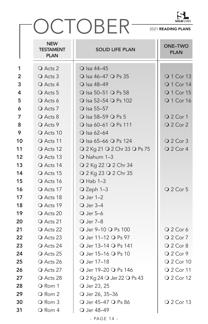

## OCTOBER

|                         | <b>NEW</b><br><b>TESTAMENT</b><br><b>PLAN</b> | <b>SOLID LIFE PLAN</b>       | <b>ONE-TWO</b><br><b>PLAN</b> |
|-------------------------|-----------------------------------------------|------------------------------|-------------------------------|
| 1                       | O Acts 2                                      | O Isa 44-45                  |                               |
| $\overline{2}$          | O Acts 3                                      | O Isa 46-47 O Ps 35          | <b>Q 1 Cor 13</b>             |
| $\mathbf{3}$            | O Acts 4                                      | O Isa 48-49                  | <b>O</b> 1 Cor 14             |
| $\overline{\mathbf{4}}$ | O Acts 5                                      | ○ Isa 50-51 ○ Ps 58          | <b>O</b> 1 Cor 15             |
| 5                       | O Acts 6                                      | O Isa 52-54 O Ps 102         | Q 1 Cor 16                    |
| $\boldsymbol{6}$        | O Acts 7                                      | O Isa 55-57                  |                               |
| $\overline{7}$          | O Acts 8                                      | ○ Isa 58-59 ○ Ps 5           | O 2 Cor 1                     |
| 8                       | O Acts 9                                      | O Isa 60-61 O Ps 111         | Q 2 Cor 2                     |
| 9                       | O Acts 10                                     | $\bigcirc$ Isa 62-64         |                               |
| 10                      | O Acts 11                                     | ○ Isa 65-66 ○ Ps 124         | O 2 Cor 3                     |
| 11                      | O Acts 12                                     | Q 2 Kg 21 Q 2 Chr 33 Q Ps 75 | Q 2 Cor 4                     |
| 12                      | O Acts 13                                     | O Nahum 1-3                  |                               |
| 13                      | O Acts 14                                     | Q 2 Kg 22 Q 2 Chr 34         |                               |
| 14                      | O Acts 15                                     | Q 2 Kg 23 Q 2 Chr 35         |                               |
| 15                      | O Acts 16                                     | $O$ Hab 1-3                  |                               |
| 16                      | O Acts 17                                     | O Zeph 1-3                   | O 2 Cor 5                     |
| 17                      | O Acts 18                                     | O Jer 1-2                    |                               |
| 18                      | O Acts 19                                     | O Jer 3-4                    |                               |
| 19                      | O Acts 20                                     | O Jer 5-6                    |                               |
| 20                      | O Acts 21                                     | O Jer 7-8                    |                               |
| 21                      | O Acts 22                                     | O Jer 9-10 O Ps 100          | Q 2 Cor 6                     |
| 22                      | O Acts 23                                     | O Jer 11-12 O Ps 97          | O 2 Cor 7                     |
| 23                      | O Acts 24                                     | ○ Jer 13-14 ○ Ps 141         | Q 2 Cor 8                     |
| 24                      | O Acts 25                                     | ○ Jer 15-16 ○ Ps 10          | Q 2 Cor 9                     |
| 25                      | O Acts 26                                     | O Jer 17-18                  | <b>Q</b> 2 Cor 10             |
| 26                      | O Acts 27                                     | O Jer 19-20 O Ps 146         | Q 2 Cor 11                    |
| 27                      | O Acts 28                                     | ○ 2 Kg 24 ○ Jer 22 ○ Ps 43   | Q 2 Cor 12                    |
| 28                      | O Rom 1                                       | O Jer 23, 25                 |                               |
| 29                      | O Rom 2                                       | O Jer 26, 35-36              |                               |
| 30                      | O Rom 3                                       | O Jer 45-47 O Ps 86          | Q 2 Cor 13                    |
| 31                      | O Rom 4                                       | O Jer 48-49                  |                               |
|                         |                                               | - PAGE 14 -                  |                               |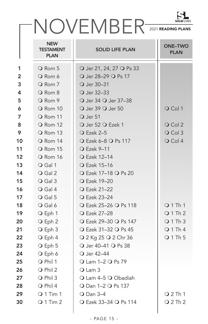|    | NOVEMBER <sup>SOUTLES</sup>            |                          |                               |
|----|----------------------------------------|--------------------------|-------------------------------|
|    | <b>NEW</b><br>TESTAMENT<br><b>PLAN</b> | <b>SOLID LIFE PLAN</b>   | <b>ONE-TWO</b><br><b>PLAN</b> |
| 1  | O Rom 5                                | O Jer 21, 24, 27 O Ps 33 |                               |
| 2  | Q Rom 6                                | O Jer 28-29 O Ps 17      |                               |
| 3  | O Rom 7                                | O Jer 30-31              |                               |
| 4  | O Rom 8                                | O Jer 32-33              |                               |
| 5  | O Rom 9                                | O Jer 34 O Jer 37-38     |                               |
| 6  | O Rom 10                               | O Jer 39 O Jer 50        | O Col 1                       |
| 7  | O Rom 11                               | O Jer 51                 |                               |
| 8  | O Rom 12                               | O Jer 52 O Ezek 1        | $\bigcirc$ Col 2              |
| 9  | O Rom 13                               | $Q$ Ezek 2-5             | O Col 3                       |
| 10 | O Rom 14                               | ○ Ezek 6-8 ○ Ps 117      | $Q$ Col 4                     |
| 11 | O Rom 15                               | <b>Q</b> Ezek 9-11       |                               |
| 12 | O Rom 16                               | <b>O</b> Ezek 12-14      |                               |
| 13 | O Gal 1                                | <b>Q</b> Ezek 15-16      |                               |
| 14 | O Gal 2                                | ○ Ezek 17-18 ○ Ps 20     |                               |
| 15 | O Gal 3                                | <b>O</b> Ezek 19-20      |                               |
| 16 | $\bigcirc$ Gal 4                       | <b>O</b> Ezek 21-22      |                               |
| 17 | O Gal 5                                | <b>O</b> Ezek 23-24      |                               |
| 18 | O Gal 6                                | ○ Ezek 25-26 ○ Ps 118    | Q1Th1                         |
| 19 | O Eph 1                                | <b>O</b> Ezek 27-28      | $Q_1$ Th 2                    |
| 20 | O Eph 2                                | ○ Ezek 29-30 ○ Ps 147    | Q1Th3                         |
| 21 | O Eph 3                                | ○ Ezek 31-32 ○ Ps 45     | Q1Th4                         |
| 22 | O Eph 4                                | ○ 2 Kg 25 ○ 2 Chr 36     | Q1Th5                         |
| 23 | O Eph 5                                | O Jer 40-41 O Ps 38      |                               |
| 24 | O Eph 6                                | O Jer 42-44              |                               |
| 25 | O Phil 1                               | $Q$ Lam 1-2 $Q$ Ps 79    |                               |
| 26 | O Phil 2                               | O Lam 3                  |                               |
| 27 | O Phil 3                               | Q Lam 4-5 Q Obadiah      |                               |
| 28 | O Phil 4                               | O Dan 1-2 O Ps 137       |                               |
| 29 | $Q$ 1 Tim 1                            | <b>O</b> Dan 3-4         | $Q$ 2 Th 1                    |
| 30 | $Q$ 1 Tim 2                            | ○ Ezek 33-34 ○ Ps 114    | $Q$ 2 Th 2                    |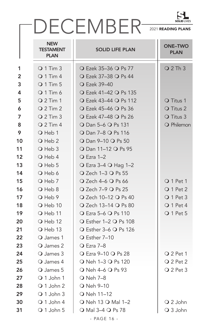### DECEMBER 2021 READING PLANS

|                | <b>NEW</b><br><b>TESTAMENT</b><br><b>PLAN</b> | <b>SOLID LIFE PLAN</b>                                                                       | <b>ONE-TWO</b><br><b>PLAN</b> |
|----------------|-----------------------------------------------|----------------------------------------------------------------------------------------------|-------------------------------|
| 1              | $Q$ 1 Tim 3                                   | ○ Ezek 35-36 ○ Ps 77                                                                         | $Q$ 2 Th 3                    |
| $\overline{2}$ | $Q$ 1 Tim 4                                   | ○ Ezek 37-38 ○ Ps 44                                                                         |                               |
| 3              | <b>Q 1 Tim 5</b>                              | <b>O</b> Ezek 39-40                                                                          |                               |
| 4              | $Q$ 1 Tim 6                                   | ○ Ezek 41-42 ○ Ps 135                                                                        |                               |
| 5              | $Q$ 2 Tim 1                                   | ○ Ezek 43-44 ○ Ps 112                                                                        | O Titus 1                     |
| 6              | $Q$ 2 Tim 2                                   | ○ Ezek 45-46 ○ Ps 36                                                                         | O Titus 2                     |
| $\overline{7}$ | $Q$ 2 Tim 3                                   | ○ Ezek 47-48 ○ Ps 26                                                                         | O Titus 3                     |
| 8              | $Q$ 2 Tim 4                                   | O Dan 5-6 O Ps 131                                                                           | O Philemon                    |
| 9              | O Heb 1                                       | <b>O</b> Dan 7-8 <b>O</b> Ps 116                                                             |                               |
| 10             | O Heb 2                                       | O Dan 9-10 O Ps 50                                                                           |                               |
| 11             | O Heb 3                                       | O Dan 11-12 O Ps 95                                                                          |                               |
| 12             | $\bigcirc$ Heb 4                              | $\overline{O}$ Ezra 1–2                                                                      |                               |
| 13             | O Heb 5                                       | ○ Ezra 3-4 ○ Hag 1-2                                                                         |                               |
| 14             | $\overline{O}$ Heb 6                          | $\overline{O}$ Zech 1–3 $\overline{O}$ Ps 55                                                 |                               |
| 15             | O Heb 7                                       | ○ Zech 4-6 ○ Ps 66                                                                           | O 1 Pet 1                     |
| 16             | $\bigcirc$ Heb 8                              | ○ Zech 7-9 ○ Ps 25                                                                           | Q 1 Pet 2                     |
| 17             | O Heb 9                                       | ○ Zech 10-12 ○ Ps 40                                                                         | O 1 Pet 3                     |
| 18             | O Heb 10                                      | ○ Zech 13-14 ○ Ps 80                                                                         | Q 1 Pet 4                     |
| 19             | O Heb 11                                      | ○ Ezra 5-6 ○ Ps 110                                                                          | O 1 Pet 5                     |
| 20             | O Heb 12                                      | ○ Esther 1-2 ○ Ps 108                                                                        |                               |
| 21             | $\overline{O}$ Heb 13                         | $\overline{O}$ Esther 3–6 $\overline{O}$ Ps 126                                              |                               |
| 22             | O James 1                                     | O Esther 7-10                                                                                |                               |
| 23             | O James 2                                     | <b>O</b> Ezra 7-8                                                                            |                               |
| 24             | O James 3                                     | ○ Ezra 9-10 ○ Ps 28                                                                          | $Q$ 2 Pet 1                   |
| 25             | $\bigcirc$ James 4                            | O Neh 1-3 O Ps 120                                                                           | O 2 Pet 2                     |
| 26             | O James 5                                     | O Neh 4-6 O Ps 93                                                                            | $Q$ 2 Pet 3                   |
| 27             | Q 1 John 1                                    | O Neh 7-8                                                                                    |                               |
| 28             | Q 1 John 2                                    | O Neh 9-10                                                                                   |                               |
| 29             | $\bigcirc$ 1 John 3                           | O Neh 11-12                                                                                  |                               |
| 30             | $Q_1$ John 4                                  | O Neh 13 O Mal 1-2                                                                           | Q 2 John                      |
| 31             | O 1 John 5                                    | O Mal 3-4 O Ps 78                                                                            | Q 3 John                      |
|                |                                               | $\begin{array}{c} \n\bullet & \bullet & \bullet & \bullet & \bullet & \bullet \n\end{array}$ |                               |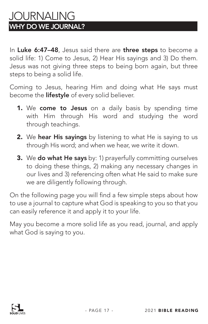### JOURNALING WHY DO WE JOURNAL?

In Luke 6:47-48, Jesus said there are three steps to become a solid life: 1) Come to Jesus, 2) Hear His sayings and 3) Do them. Jesus was not giving three steps to being born again, but three steps to being a solid life.

Coming to Jesus, hearing Him and doing what He says must become the **lifestyle** of every solid believer.

- 1. We come to Jesus on a daily basis by spending time with Him through His word and studying the word through teachings.
- 2. We hear His sayings by listening to what He is saying to us through His word; and when we hear, we write it down.
- **3.** We do what He says by: 1) prayerfully committing ourselves to doing these things, 2) making any necessary changes in our lives and 3) referencing often what He said to make sure we are diligently following through.

On the following page you will find a few simple steps about how to use a journal to capture what God is speaking to you so that you can easily reference it and apply it to your life.

May you become a more solid life as you read, journal, and apply what God is saying to you.